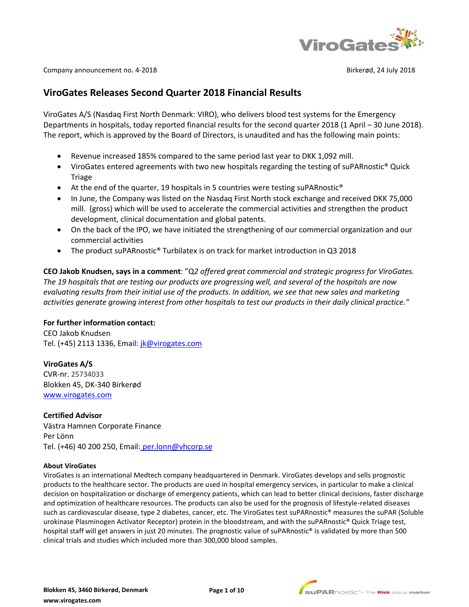

Company announcement no. 4-2018 **Birkerød, 24 July 2018** 

# **ViroGates Releases Second Quarter 2018 Financial Results**

ViroGates A/S (Nasdaq First North Denmark: VIRO), who delivers blood test systems for the Emergency Departments in hospitals, today reported financial results for the second quarter 2018 (1 April – 30 June 2018). The report, which is approved by the Board of Directors, is unaudited and has the following main points:

- Revenue increased 185% compared to the same period last year to DKK 1,092 mill.
- ViroGates entered agreements with two new hospitals regarding the testing of suPARnostic® Quick Triage
- At the end of the quarter, 19 hospitals in 5 countries were testing suPARnostic<sup>®</sup>
- In June, the Company was listed on the Nasdaq First North stock exchange and received DKK 75,000 mill. (gross) which will be used to accelerate the commercial activities and strengthen the product development, clinical documentation and global patents.
- On the back of the IPO, we have initiated the strengthening of our commercial organization and our commercial activities
- The product suPARnostic® Turbilatex is on track for market introduction in Q3 2018

**CEO Jakob Knudsen, says in a comment**: "Q*2 offered great commercial and strategic progress for ViroGates. The 19 hospitals that are testing our products are progressing well, and several of the hospitals are now evaluating results from their initial use of the products. In addition, we see that new sales and marketing activities generate growing interest from other hospitals to test our products in their daily clinical practice."*

## **For further information contact:**

CEO Jakob Knudsen Tel. (+45) 2113 1336, Email: [jk@virogates.com](mailto:jk@virogates.com)

## **ViroGates A/S**

CVR-nr. 25734033 Blokken 45, DK-340 Birkerød www.virogates.com

## **Certified Advisor**

Västra Hamnen Corporate Finance Per Lönn Tel. (+46) 40 200 250, Email: [per.lonn@vhcorp.se](mailto:per.lonn@vhcorp.se) 

### **About ViroGates**

ViroGates is an international Medtech company headquartered in Denmark. ViroGates develops and sells prognostic products to the healthcare sector. The products are used in hospital emergency services, in particular to make a clinical decision on hospitalization or discharge of emergency patients, which can lead to better clinical decisions, faster discharge and optimization of healthcare resources. The products can also be used for the prognosis of lifestyle-related diseases such as cardiovascular disease, type 2 diabetes, cancer, etc. The ViroGates test suPARnostic® measures the suPAR (Soluble urokinase Plasminogen Activator Receptor) protein in the bloodstream, and with the suPARnostic® Quick Triage test, hospital staff will get answers in just 20 minutes. The prognostic value of suPARnostic® is validated by more than 500 clinical trials and studies which included more than 300,000 blood samples.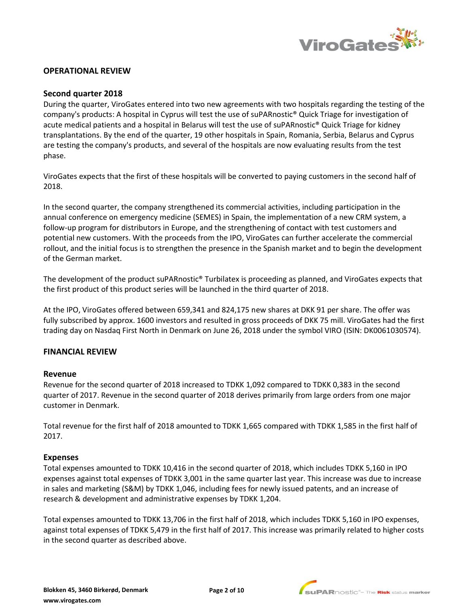

## **OPERATIONAL REVIEW**

## **Second quarter 2018**

During the quarter, ViroGates entered into two new agreements with two hospitals regarding the testing of the company's products: A hospital in Cyprus will test the use of suPARnostic® Quick Triage for investigation of acute medical patients and a hospital in Belarus will test the use of suPARnostic® Quick Triage for kidney transplantations. By the end of the quarter, 19 other hospitals in Spain, Romania, Serbia, Belarus and Cyprus are testing the company's products, and several of the hospitals are now evaluating results from the test phase.

ViroGates expects that the first of these hospitals will be converted to paying customers in the second half of 2018.

In the second quarter, the company strengthened its commercial activities, including participation in the annual conference on emergency medicine (SEMES) in Spain, the implementation of a new CRM system, a follow-up program for distributors in Europe, and the strengthening of contact with test customers and potential new customers. With the proceeds from the IPO, ViroGates can further accelerate the commercial rollout, and the initial focus is to strengthen the presence in the Spanish market and to begin the development of the German market.

The development of the product suPARnostic® Turbilatex is proceeding as planned, and ViroGates expects that the first product of this product series will be launched in the third quarter of 2018.

At the IPO, ViroGates offered between 659,341 and 824,175 new shares at DKK 91 per share. The offer was fully subscribed by approx. 1600 investors and resulted in gross proceeds of DKK 75 mill. ViroGates had the first trading day on Nasdaq First North in Denmark on June 26, 2018 under the symbol VIRO (ISIN: DK0061030574).

## **FINANCIAL REVIEW**

### **Revenue**

Revenue for the second quarter of 2018 increased to TDKK 1,092 compared to TDKK 0,383 in the second quarter of 2017. Revenue in the second quarter of 2018 derives primarily from large orders from one major customer in Denmark.

Total revenue for the first half of 2018 amounted to TDKK 1,665 compared with TDKK 1,585 in the first half of 2017.

### **Expenses**

Total expenses amounted to TDKK 10,416 in the second quarter of 2018, which includes TDKK 5,160 in IPO expenses against total expenses of TDKK 3,001 in the same quarter last year. This increase was due to increase in sales and marketing (S&M) by TDKK 1,046, including fees for newly issued patents, and an increase of research & development and administrative expenses by TDKK 1,204.

Total expenses amounted to TDKK 13,706 in the first half of 2018, which includes TDKK 5,160 in IPO expenses, against total expenses of TDKK 5,479 in the first half of 2017. This increase was primarily related to higher costs in the second quarter as described above.

**Page 2 of 10**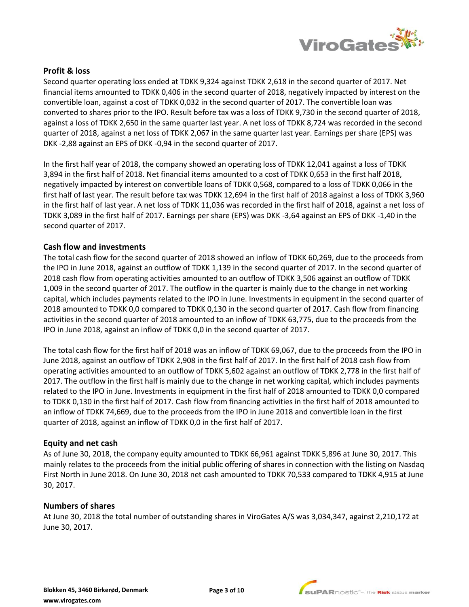

# **Profit & loss**

Second quarter operating loss ended at TDKK 9,324 against TDKK 2,618 in the second quarter of 2017. Net financial items amounted to TDKK 0,406 in the second quarter of 2018, negatively impacted by interest on the convertible loan, against a cost of TDKK 0,032 in the second quarter of 2017. The convertible loan was converted to shares prior to the IPO. Result before tax was a loss of TDKK 9,730 in the second quarter of 2018, against a loss of TDKK 2,650 in the same quarter last year. A net loss of TDKK 8,724 was recorded in the second quarter of 2018, against a net loss of TDKK 2,067 in the same quarter last year. Earnings per share (EPS) was DKK -2,88 against an EPS of DKK -0,94 in the second quarter of 2017.

In the first half year of 2018, the company showed an operating loss of TDKK 12,041 against a loss of TDKK 3,894 in the first half of 2018. Net financial items amounted to a cost of TDKK 0,653 in the first half 2018, negatively impacted by interest on convertible loans of TDKK 0,568, compared to a loss of TDKK 0,066 in the first half of last year. The result before tax was TDKK 12,694 in the first half of 2018 against a loss of TDKK 3,960 in the first half of last year. A net loss of TDKK 11,036 was recorded in the first half of 2018, against a net loss of TDKK 3,089 in the first half of 2017. Earnings per share (EPS) was DKK -3,64 against an EPS of DKK -1,40 in the second quarter of 2017.

## **Cash flow and investments**

The total cash flow for the second quarter of 2018 showed an inflow of TDKK 60,269, due to the proceeds from the IPO in June 2018, against an outflow of TDKK 1,139 in the second quarter of 2017. In the second quarter of 2018 cash flow from operating activities amounted to an outflow of TDKK 3,506 against an outflow of TDKK 1,009 in the second quarter of 2017. The outflow in the quarter is mainly due to the change in net working capital, which includes payments related to the IPO in June. Investments in equipment in the second quarter of 2018 amounted to TDKK 0,0 compared to TDKK 0,130 in the second quarter of 2017. Cash flow from financing activities in the second quarter of 2018 amounted to an inflow of TDKK 63,775, due to the proceeds from the IPO in June 2018, against an inflow of TDKK 0,0 in the second quarter of 2017.

The total cash flow for the first half of 2018 was an inflow of TDKK 69,067, due to the proceeds from the IPO in June 2018, against an outflow of TDKK 2,908 in the first half of 2017. In the first half of 2018 cash flow from operating activities amounted to an outflow of TDKK 5,602 against an outflow of TDKK 2,778 in the first half of 2017. The outflow in the first half is mainly due to the change in net working capital, which includes payments related to the IPO in June. Investments in equipment in the first half of 2018 amounted to TDKK 0,0 compared to TDKK 0,130 in the first half of 2017. Cash flow from financing activities in the first half of 2018 amounted to an inflow of TDKK 74,669, due to the proceeds from the IPO in June 2018 and convertible loan in the first quarter of 2018, against an inflow of TDKK 0,0 in the first half of 2017.

## **Equity and net cash**

As of June 30, 2018, the company equity amounted to TDKK 66,961 against TDKK 5,896 at June 30, 2017. This mainly relates to the proceeds from the initial public offering of shares in connection with the listing on Nasdaq First North in June 2018. On June 30, 2018 net cash amounted to TDKK 70,533 compared to TDKK 4,915 at June 30, 2017.

### **Numbers of shares**

At June 30, 2018 the total number of outstanding shares in ViroGates A/S was 3,034,347, against 2,210,172 at June 30, 2017.

**Page 3 of 10**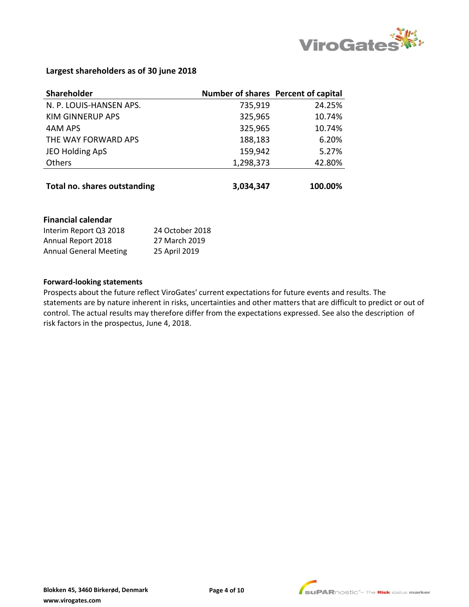

# **Largest shareholders as of 30 june 2018**

| <b>Shareholder</b>           |           | Number of shares Percent of capital |
|------------------------------|-----------|-------------------------------------|
| N. P. LOUIS-HANSEN APS.      | 735,919   | 24.25%                              |
| <b>KIM GINNERUP APS</b>      | 325,965   | 10.74%                              |
| 4AM APS                      | 325,965   | 10.74%                              |
| THE WAY FORWARD APS          | 188,183   | 6.20%                               |
| JEO Holding ApS              | 159,942   | 5.27%                               |
| Others                       | 1,298,373 | 42.80%                              |
|                              |           |                                     |
| Total no. shares outstanding | 3,034,347 | 100.00%                             |

# **Financial calendar**

| Interim Report Q3 2018        | 24 October 2018 |
|-------------------------------|-----------------|
| Annual Report 2018            | 27 March 2019   |
| <b>Annual General Meeting</b> | 25 April 2019   |

## **Forward-looking statements**

Prospects about the future reflect ViroGates' current expectations for future events and results. The statements are by nature inherent in risks, uncertainties and other matters that are difficult to predict or out of control. The actual results may therefore differ from the expectations expressed. See also the description of risk factors in the prospectus, June 4, 2018.



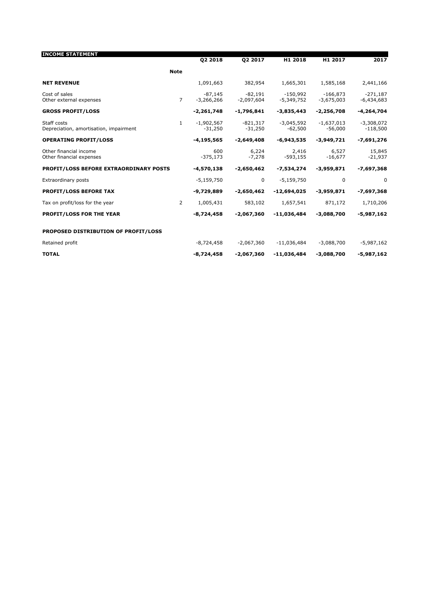| <b>INCOME STATEMENT</b>                               |              | <b>Q2 2018</b>            | 02 2017                   | H1 2018                    | H1 2017                    | 2017                       |
|-------------------------------------------------------|--------------|---------------------------|---------------------------|----------------------------|----------------------------|----------------------------|
|                                                       | <b>Note</b>  |                           |                           |                            |                            |                            |
| <b>NET REVENUE</b>                                    |              | 1,091,663                 | 382,954                   | 1,665,301                  | 1,585,168                  | 2,441,166                  |
| Cost of sales<br>Other external expenses              | 7            | $-87.145$<br>$-3,266,266$ | $-82.191$<br>$-2,097,604$ | $-150.992$<br>$-5,349,752$ | $-166.873$<br>$-3,675,003$ | $-271.187$<br>$-6,434,683$ |
| <b>GROSS PROFIT/LOSS</b>                              |              | $-2,261,748$              | $-1,796,841$              | $-3,835,443$               | $-2,256,708$               | $-4,264,704$               |
| Staff costs<br>Depreciation, amortisation, impairment | $\mathbf{1}$ | $-1,902,567$<br>$-31,250$ | $-821,317$<br>$-31,250$   | $-3,045,592$<br>$-62,500$  | $-1,637,013$<br>$-56,000$  | $-3,308,072$<br>$-118,500$ |
| <b>OPERATING PROFIT/LOSS</b>                          |              | $-4, 195, 565$            | $-2,649,408$              | $-6,943,535$               | $-3,949,721$               | $-7,691,276$               |
| Other financial income<br>Other financial expenses    |              | 600<br>$-375,173$         | 6,224<br>$-7,278$         | 2,416<br>$-593,155$        | 6,527<br>$-16,677$         | 15,845<br>$-21,937$        |
| PROFIT/LOSS BEFORE EXTRAORDINARY POSTS                |              | $-4,570,138$              | $-2,650,462$              | -7,534,274                 | $-3,959,871$               | $-7,697,368$               |
| Extraordinary posts                                   |              | $-5,159,750$              | 0                         | $-5,159,750$               | 0                          | 0                          |
| <b>PROFIT/LOSS BEFORE TAX</b>                         |              | $-9,729,889$              | $-2,650,462$              | -12,694,025                | $-3,959,871$               | -7,697,368                 |
| Tax on profit/loss for the year                       | 2            | 1,005,431                 | 583,102                   | 1,657,541                  | 871,172                    | 1,710,206                  |
| PROFIT/LOSS FOR THE YEAR                              |              | $-8,724,458$              | $-2,067,360$              | -11,036,484                | $-3,088,700$               | $-5,987,162$               |
| PROPOSED DISTRIBUTION OF PROFIT/LOSS                  |              |                           |                           |                            |                            |                            |
| Retained profit                                       |              | $-8,724,458$              | $-2,067,360$              | $-11,036,484$              | $-3,088,700$               | $-5,987,162$               |
| <b>TOTAL</b>                                          |              | $-8,724,458$              | $-2,067,360$              | $-11,036,484$              | $-3,088,700$               | $-5,987,162$               |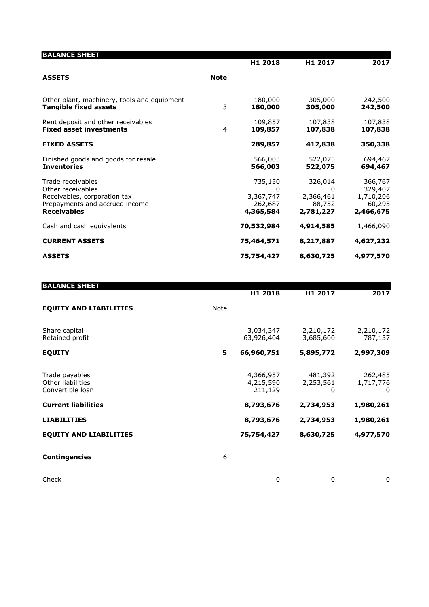| <b>BALANCE SHEET</b>                                                        |             |                      |                     |                     |
|-----------------------------------------------------------------------------|-------------|----------------------|---------------------|---------------------|
|                                                                             |             | H1 2018              | H1 2017             | 2017                |
| <b>ASSETS</b>                                                               | <b>Note</b> |                      |                     |                     |
|                                                                             |             |                      |                     |                     |
| Other plant, machinery, tools and equipment<br><b>Tangible fixed assets</b> | 3           | 180,000<br>180,000   | 305,000<br>305,000  | 242,500<br>242,500  |
|                                                                             |             |                      |                     |                     |
| Rent deposit and other receivables                                          |             | 109,857              | 107,838             | 107,838             |
| <b>Fixed asset investments</b>                                              | 4           | 109,857              | 107,838             | 107,838             |
| <b>FIXED ASSETS</b>                                                         |             | 289,857              | 412,838             | 350,338             |
| Finished goods and goods for resale                                         |             | 566,003              | 522,075             | 694,467             |
| <b>Inventories</b>                                                          |             | 566,003              | 522,075             | 694,467             |
| Trade receivables                                                           |             | 735,150              | 326,014             | 366,767             |
| Other receivables                                                           |             | $\Omega$             | 0                   | 329,407             |
| Receivables, corporation tax                                                |             | 3,367,747            | 2,366,461           | 1,710,206           |
| Prepayments and accrued income<br><b>Receivables</b>                        |             | 262,687<br>4,365,584 | 88,752<br>2,781,227 | 60,295<br>2,466,675 |
|                                                                             |             |                      |                     |                     |
| Cash and cash equivalents                                                   |             | 70,532,984           | 4,914,585           | 1,466,090           |
| <b>CURRENT ASSETS</b>                                                       |             | 75,464,571           | 8,217,887           | 4,627,232           |
| <b>ASSETS</b>                                                               |             | 75,754,427           | 8,630,725           | 4,977,570           |

| <b>BALANCE SHEET</b>                                    |             | H1 2018                           | H1 2017                   | 2017                      |
|---------------------------------------------------------|-------------|-----------------------------------|---------------------------|---------------------------|
| <b>EQUITY AND LIABILITIES</b>                           | <b>Note</b> |                                   |                           |                           |
| Share capital<br>Retained profit                        |             | 3,034,347<br>63,926,404           | 2,210,172<br>3,685,600    | 2,210,172<br>787,137      |
| <b>EQUITY</b>                                           | 5           | 66,960,751                        | 5,895,772                 | 2,997,309                 |
| Trade payables<br>Other liabilities<br>Convertible loan |             | 4,366,957<br>4,215,590<br>211,129 | 481,392<br>2,253,561<br>0 | 262,485<br>1,717,776<br>0 |
| <b>Current liabilities</b>                              |             | 8,793,676                         | 2,734,953                 | 1,980,261                 |
| <b>LIABILITIES</b>                                      |             | 8,793,676                         | 2,734,953                 | 1,980,261                 |
| <b>EQUITY AND LIABILITIES</b>                           |             | 75,754,427                        | 8,630,725                 | 4,977,570                 |
| <b>Contingencies</b>                                    | 6           |                                   |                           |                           |
| Check                                                   |             | 0                                 | 0                         | 0                         |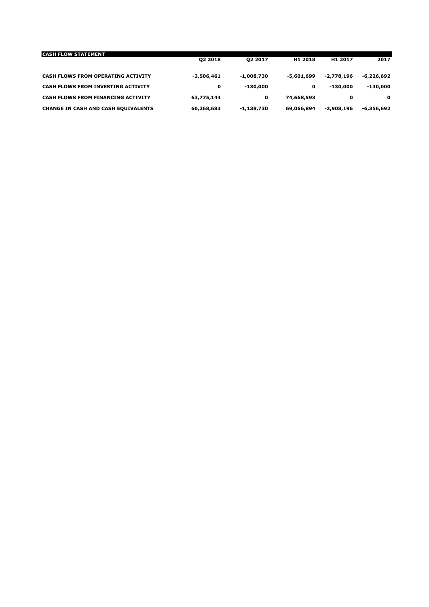| <b>CASH FLOW STATEMENT</b>                 |            |            |                     |              |              |
|--------------------------------------------|------------|------------|---------------------|--------------|--------------|
|                                            | 02 2018    | 02 2017    | H <sub>1</sub> 2018 | H1 2017      | 2017         |
| <b>CASH FLOWS FROM OPERATING ACTIVITY</b>  | -3,506,461 | -1,008,730 | -5,601,699          | $-2.778.196$ | $-6.226.692$ |
| CASH FLOWS FROM INVESTING ACTIVITY         | 0          | $-130,000$ | 0                   | -130,000     | $-130,000$   |
| <b>CASH FLOWS FROM FINANCING ACTIVITY</b>  | 63,775,144 | 0          | 74,668,593          | 0            | $\mathbf{o}$ |
| <b>CHANGE IN CASH AND CASH EOUIVALENTS</b> | 60,268,683 | -1,138,730 | 69,066,894          | -2,908,196   | -6,356,692   |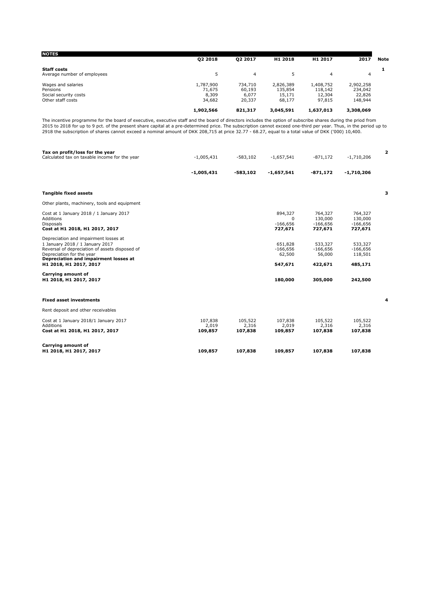| <b>NOTES</b>                                                                                                                                                                                                                                                                                                                                                                                                                                                                             | 02 2018                                | Q2 2017                              | H1 2018                                      | H1 2017                                     | 2017                                        | <b>Note</b>  |
|------------------------------------------------------------------------------------------------------------------------------------------------------------------------------------------------------------------------------------------------------------------------------------------------------------------------------------------------------------------------------------------------------------------------------------------------------------------------------------------|----------------------------------------|--------------------------------------|----------------------------------------------|---------------------------------------------|---------------------------------------------|--------------|
| <b>Staff costs</b><br>Average number of employees                                                                                                                                                                                                                                                                                                                                                                                                                                        | 5                                      | $\overline{4}$                       | 5                                            | $\overline{4}$                              | $\overline{4}$                              | $\mathbf{1}$ |
| Wages and salaries<br>Pensions<br>Social security costs<br>Other staff costs                                                                                                                                                                                                                                                                                                                                                                                                             | 1,787,900<br>71,675<br>8,309<br>34,682 | 734,710<br>60,193<br>6,077<br>20,337 | 2,826,389<br>135,854<br>15,171<br>68,177     | 1,408,752<br>118,142<br>12,304<br>97,815    | 2,902,258<br>234,042<br>22,826<br>148,944   |              |
|                                                                                                                                                                                                                                                                                                                                                                                                                                                                                          | 1,902,566                              | 821,317                              | 3,045,591                                    | 1,637,013                                   | 3,308,069                                   |              |
| The incentive programme for the board of executive, executive staff and the board of directors includes the option of subscribe shares during the priod from<br>2015 to 2018 for up to 9 pct. of the present share capital at a pre-determined price. The subscription cannot exceed one-third per year. Thus, in the period up to<br>2918 the subscription of shares cannot exceed a nominal amount of DKK 208,715 at price 32.77 - 68.27, equal to a total value of DKK ('000) 10,400. |                                        |                                      |                                              |                                             |                                             |              |
| Tax on profit/loss for the year<br>Calculated tax on taxable income for the year                                                                                                                                                                                                                                                                                                                                                                                                         | $-1,005,431$                           | -583,102                             | $-1,657,541$                                 | -871,172                                    | $-1,710,206$                                | 2            |
|                                                                                                                                                                                                                                                                                                                                                                                                                                                                                          | -1,005,431                             | -583,102                             | $-1,657,541$                                 | -871,172                                    | -1,710,206                                  |              |
| <b>Tangible fixed assets</b>                                                                                                                                                                                                                                                                                                                                                                                                                                                             |                                        |                                      |                                              |                                             |                                             | 3            |
| Other plants, machinery, tools and equipment                                                                                                                                                                                                                                                                                                                                                                                                                                             |                                        |                                      |                                              |                                             |                                             |              |
| Cost at 1 January 2018 / 1 January 2017<br>Additions<br><b>Disposals</b><br>Cost at H1 2018, H1 2017, 2017                                                                                                                                                                                                                                                                                                                                                                               |                                        |                                      | 894,327<br>$\Omega$<br>$-166,656$<br>727,671 | 764,327<br>130,000<br>$-166,656$<br>727,671 | 764,327<br>130,000<br>$-166,656$<br>727,671 |              |
| Depreciation and impairment losses at<br>1 January 2018 / 1 January 2017<br>Reversal of depreciation of assets disposed of<br>Depreciation for the year<br>Depreciation and impairment losses at<br>H1 2018, H1 2017, 2017                                                                                                                                                                                                                                                               |                                        |                                      | 651,828<br>$-166,656$<br>62,500<br>547,671   | 533,327<br>$-166,656$<br>56,000<br>422,671  | 533,327<br>$-166,656$<br>118,501<br>485,171 |              |
| Carrying amount of<br>H1 2018, H1 2017, 2017                                                                                                                                                                                                                                                                                                                                                                                                                                             |                                        |                                      | 180,000                                      | 305,000                                     | 242,500                                     |              |
| <b>Fixed asset investments</b><br>Rent deposit and other receivables                                                                                                                                                                                                                                                                                                                                                                                                                     |                                        |                                      |                                              |                                             |                                             | 4            |

| 107,838 | 105,522 | 107,838            | 105,522 | 105,522 |
|---------|---------|--------------------|---------|---------|
| 2.019   | 2.316   | 2.019              | 2,316   | 2,316   |
| 109,857 |         | 109,857            | 107.838 | 107,838 |
|         |         |                    |         |         |
|         |         |                    |         |         |
| 109,857 |         | 109,857            | 107,838 | 107.838 |
|         |         | 107.838<br>107,838 |         |         |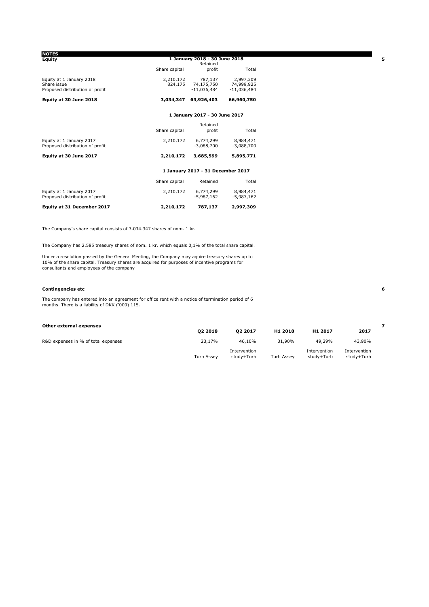| <b>NOTES</b>                    |                                           |                                   |               |  |  |
|---------------------------------|-------------------------------------------|-----------------------------------|---------------|--|--|
| Equity                          | 1 January 2018 - 30 June 2018<br>Retained |                                   |               |  |  |
|                                 | Share capital                             | profit                            | Total         |  |  |
| Equity at 1 January 2018        | 2,210,172                                 | 787.137                           | 2.997.309     |  |  |
| Share issue                     | 824,175                                   | 74,175,750                        | 74,999,925    |  |  |
| Proposed distribution of profit |                                           | $-11.036.484$                     | $-11.036.484$ |  |  |
| Equity at 30 June 2018          | 3,034,347                                 | 63,926,403                        | 66,960,750    |  |  |
|                                 |                                           | 1 January 2017 - 30 June 2017     |               |  |  |
|                                 |                                           | Retained                          |               |  |  |
|                                 | Share capital                             | profit                            | Total         |  |  |
| Equity at 1 January 2017        | 2,210,172                                 | 6,774,299                         | 8,984,471     |  |  |
| Proposed distribution of profit |                                           | $-3.088.700$                      | $-3,088,700$  |  |  |
| Equity at 30 June 2017          | 2,210,172                                 | 3,685,599                         | 5,895,771     |  |  |
|                                 |                                           | 1 January 2017 - 31 December 2017 |               |  |  |
|                                 | Share capital                             | Retained                          | Total         |  |  |
| Equity at 1 January 2017        | 2,210,172                                 | 6,774,299                         | 8,984,471     |  |  |
| Proposed distribution of profit |                                           | $-5,987,162$                      | -5,987,162    |  |  |
| Equity at 31 December 2017      | 2,210,172                                 | 787,137                           | 2,997,309     |  |  |

The Company's share capital consists of 3.034.347 shares of nom. 1 kr.

The Company has 2.585 treasury shares of nom. 1 kr. which equals 0,1% of the total share capital.

Under a resolution passed by the General Meeting, the Company may aquire treasury shares up to<br>10% of the share capital. Treasury shares are acquired for purposes of incentive programs for<br>consultants and employees of the

#### **Contingencies etc 6**

The company has entered into an agreement for office rent with a notice of termination period of 6 months. There is a liability of DKK ('000) 115.

#### **Other external expenses 7**

|                                     | 02 2018    | 02 2017                    | H <sub>1</sub> 2018 | H1 2017                    | 2017                       |  |
|-------------------------------------|------------|----------------------------|---------------------|----------------------------|----------------------------|--|
| R&D expenses in % of total expenses | 23.17%     | 46.10%                     | 31,90%              | 49.29%                     | 43,90%                     |  |
|                                     | Turb Assev | Intervention<br>study+Turb | Turb Assev          | Intervention<br>studv+Turb | Intervention<br>study+Turb |  |